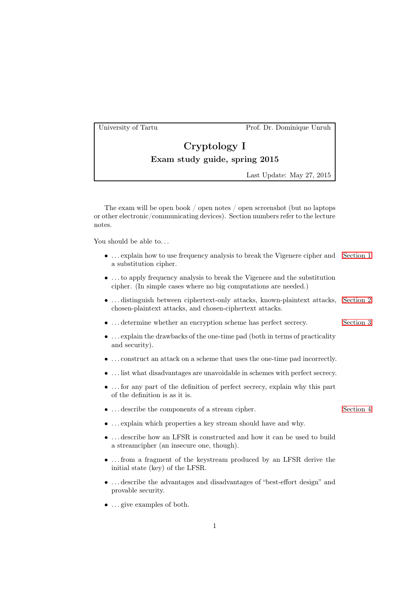University of Tartu Prof. Dr. Dominique Unruh

## Cryptology I Exam study guide, spring 2015

Last Update: May 27, 2015

The exam will be open book / open notes / open screenshot (but no laptops or other electronic/communicating devices). Section numbers refer to the lecture notes.

You should be able to...

- ... explain how to use frequency analysis to break the Vigenere cipher and Section 1 a substitution cipher.
- . . . to apply frequency analysis to break the Vigenere and the substitution cipher. (In simple cases where no big computations are needed.)
- . . . distinguish between ciphertext-only attacks, known-plaintext attacks, Section 2 chosen-plaintext attacks, and chosen-ciphertext attacks.
- $\bullet$  ... determine whether an encryption scheme has perfect secrecy. Section 3
- . . . explain the drawbacks of the one-time pad (both in terms of practicality and security).
- . . . construct an attack on a scheme that uses the one-time pad incorrectly.
- . . . list what disadvantages are unavoidable in schemes with perfect secrecy.
- . . . for any part of the definition of perfect secrecy, explain why this part of the definition is as it is.
- ... describe the components of a stream cipher. Section 4
	-
- . . . explain which properties a key stream should have and why.
- . . . describe how an LFSR is constructed and how it can be used to build a streamcipher (an insecure one, though).
- . . . from a fragment of the keystream produced by an LFSR derive the initial state (key) of the LFSR.
- . . . describe the advantages and disadvantages of "best-effort design" and provable security.
- ... give examples of both.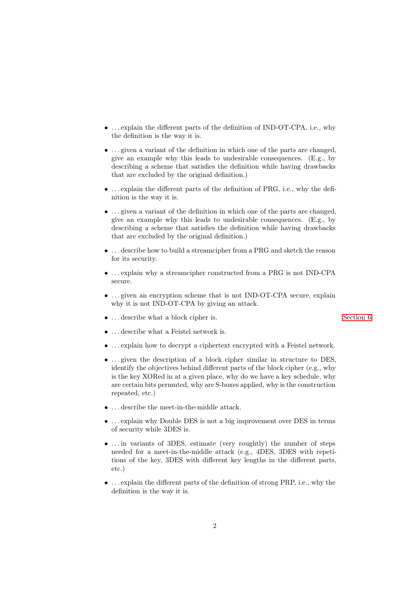- . . . explain the different parts of the definition of IND-OT-CPA, i.e., why the definition is the way it is.
- $\bullet$  ... given a variant of the definition in which one of the parts are changed, give an example why this leads to undesirable consequences. (E.g., by describing a scheme that satisfies the definition while having drawbacks that are excluded by the original definition.)
- . . . explain the different parts of the definition of PRG, i.e., why the definition is the way it is.
- ... given a variant of the definition in which one of the parts are changed, give an example why this leads to undesirable consequences. (E.g., by describing a scheme that satisfies the definition while having drawbacks that are excluded by the original definition.)
- . . . describe how to build a streamcipher from a PRG and sketch the reason for its security.
- . . . explain why a streamcipher constructed from a PRG is not IND-CPA secure.
- ... given an encryption scheme that is not IND-OT-CPA secure, explain why it is not IND-OT-CPA by giving an attack.
- $\bullet$   $\ldots$  describe what a block cipher is. Section 6  $\,$  Section 6  $\,$
- . . . describe what a Feistel network is.
- . . . explain how to decrypt a ciphertext encrypted with a Feistel network.
- ... given the description of a block cipher similar in structure to DES, identify the objectives behind different parts of the block cipher (e.g., why is the key XORed in at a given place, why do we have a key schedule, why are certain bits permuted, why are S-boxes applied, why is the construction repeated, etc.)
- $\bullet\,$   $\ldots$  describe the meet-in-the-middle attack.
- . . . explain why Double DES is not a big improvement over DES in terms of security while 3DES is.
- ... in variants of 3DES, estimate (very roughtly) the number of steps needed for a meet-in-the-middle attack (e.g., 4DES, 3DES with repetitions of the key, 3DES with different key lengths in the different parts, etc.)
- . . . explain the different parts of the definition of strong PRP, i.e., why the definition is the way it is.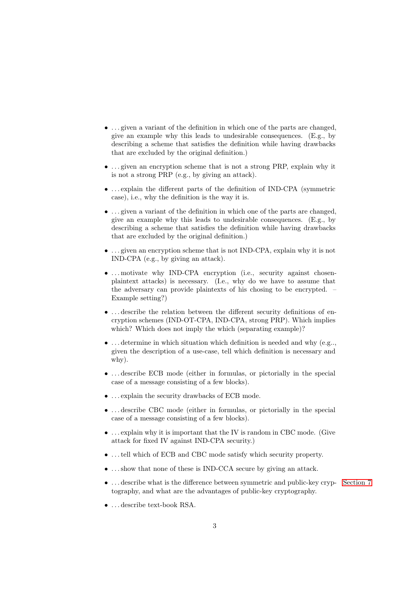- $\bullet$  ... given a variant of the definition in which one of the parts are changed. give an example why this leads to undesirable consequences. (E.g., by describing a scheme that satisfies the definition while having drawbacks that are excluded by the original definition.)
- ... given an encryption scheme that is not a strong PRP, explain why it is not a strong PRP (e.g., by giving an attack).
- . . . explain the different parts of the definition of IND-CPA (symmetric case), i.e., why the definition is the way it is.
- ... given a variant of the definition in which one of the parts are changed, give an example why this leads to undesirable consequences. (E.g., by describing a scheme that satisfies the definition while having drawbacks that are excluded by the original definition.)
- . . . given an encryption scheme that is not IND-CPA, explain why it is not IND-CPA (e.g., by giving an attack).
- ... motivate why IND-CPA encryption (i.e., security against chosenplaintext attacks) is necessary. (I.e., why do we have to assume that the adversary can provide plaintexts of his chosing to be encrypted. – Example setting?)
- . . . describe the relation between the different security definitions of encryption schemes (IND-OT-CPA, IND-CPA, strong PRP). Which implies which? Which does not imply the which (separating example)?
- $\bullet$  ... determine in which situation which definition is needed and why (e.g.., given the description of a use-case, tell which definition is necessary and why).
- . . . describe ECB mode (either in formulas, or pictorially in the special case of a message consisting of a few blocks).
- . . . explain the security drawbacks of ECB mode.
- . . . describe CBC mode (either in formulas, or pictorially in the special case of a message consisting of a few blocks).
- . . . explain why it is important that the IV is random in CBC mode. (Give attack for fixed IV against IND-CPA security.)
- ... tell which of ECB and CBC mode satisfy which security property.
- ... show that none of these is IND-CCA secure by giving an attack.
- ... describe what is the difference between symmetric and public-key cryp- Section 7 tography, and what are the advantages of public-key cryptography.
- . . . describe text-book RSA.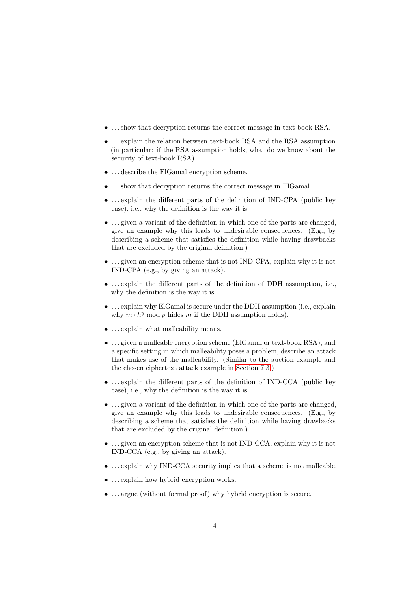- . . . show that decryption returns the correct message in text-book RSA.
- . . . explain the relation between text-book RSA and the RSA assumption (in particular: if the RSA assumption holds, what do we know about the security of text-book RSA). .
- . . . describe the ElGamal encryption scheme.
- . . . show that decryption returns the correct message in ElGamal.
- . . . explain the different parts of the definition of IND-CPA (public key case), i.e., why the definition is the way it is.
- . . . given a variant of the definition in which one of the parts are changed, give an example why this leads to undesirable consequences. (E.g., by describing a scheme that satisfies the definition while having drawbacks that are excluded by the original definition.)
- . . . given an encryption scheme that is not IND-CPA, explain why it is not IND-CPA (e.g., by giving an attack).
- . . . explain the different parts of the definition of DDH assumption, i.e., why the definition is the way it is.
- . . . explain why ElGamal is secure under the DDH assumption (i.e., explain why  $m \cdot h^y$  mod p hides m if the DDH assumption holds).
- . . . explain what malleability means.
- . . . given a malleable encryption scheme (ElGamal or text-book RSA), and a specific setting in which malleability poses a problem, describe an attack that makes use of the malleability. (Similar to the auction example and the chosen ciphertext attack example in Section 7.3.)
- . . . explain the different parts of the definition of IND-CCA (public key case), i.e., why the definition is the way it is.
- ... given a variant of the definition in which one of the parts are changed, give an example why this leads to undesirable consequences. (E.g., by describing a scheme that satisfies the definition while having drawbacks that are excluded by the original definition.)
- . . . given an encryption scheme that is not IND-CCA, explain why it is not IND-CCA (e.g., by giving an attack).
- $\bullet$  ... explain why IND-CCA security implies that a scheme is not malleable.
- ... explain how hybrid encryption works.
- . . . argue (without formal proof) why hybrid encryption is secure.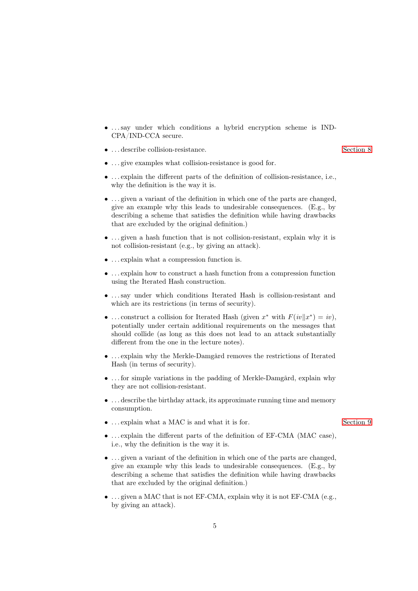- . . . say under which conditions a hybrid encryption scheme is IND-CPA/IND-CCA secure.
- $\bullet$   $\cdots$  describe collision-resistance. Section 8

- ... give examples what collision-resistance is good for.
- . . . explain the different parts of the definition of collision-resistance, i.e., why the definition is the way it is.
- . . . given a variant of the definition in which one of the parts are changed, give an example why this leads to undesirable consequences. (E.g., by describing a scheme that satisfies the definition while having drawbacks that are excluded by the original definition.)
- ... given a hash function that is not collision-resistant, explain why it is not collision-resistant (e.g., by giving an attack).
- . . . explain what a compression function is.
- . . . explain how to construct a hash function from a compression function using the Iterated Hash construction.
- . . . say under which conditions Iterated Hash is collision-resistant and which are its restrictions (in terms of security).
- ... construct a collision for Iterated Hash (given  $x^*$  with  $F(iv||x^*) = iv$ ), potentially under certain additional requirements on the messages that should collide (as long as this does not lead to an attack substantially different from the one in the lecture notes).
- . . . explain why the Merkle-Damgård removes the restrictions of Iterated Hash (in terms of security).
- . . . for simple variations in the padding of Merkle-Damgård, explain why they are not collision-resistant.
- . . . describe the birthday attack, its approximate running time and memory consumption.
- $\ldots$  explain what a MAC is and what it is for. Section 9
- . . . explain the different parts of the definition of EF-CMA (MAC case), i.e., why the definition is the way it is.
- $\bullet$  ... given a variant of the definition in which one of the parts are changed, give an example why this leads to undesirable consequences. (E.g., by describing a scheme that satisfies the definition while having drawbacks that are excluded by the original definition.)
- $\bullet$  ... given a MAC that is not EF-CMA, explain why it is not EF-CMA (e.g., by giving an attack).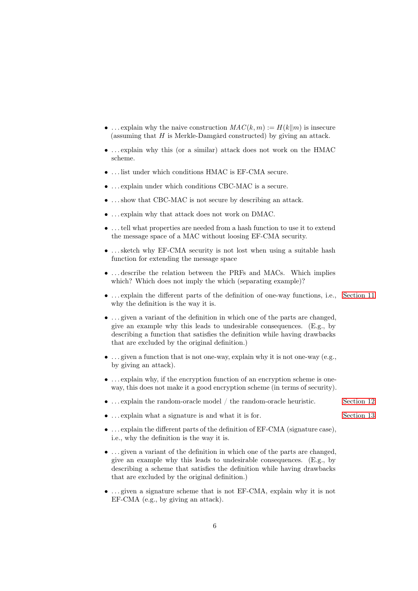- ... explain why the naive construction  $MAC(k, m) := H(k||m)$  is insecure (assuming that  $H$  is Merkle-Damgård constructed) by giving an attack.
- . . . explain why this (or a similar) attack does not work on the HMAC scheme.
- . . . list under which conditions HMAC is EF-CMA secure.
- . . . explain under which conditions CBC-MAC is a secure.
- . . . show that CBC-MAC is not secure by describing an attack.
- . . . explain why that attack does not work on DMAC.
- . . . tell what properties are needed from a hash function to use it to extend the message space of a MAC without loosing EF-CMA security.
- ... sketch why EF-CMA security is not lost when using a suitable hash function for extending the message space
- . . . describe the relation between the PRFs and MACs. Which implies which? Which does not imply the which (separating example)?
- . . . explain the different parts of the definition of one-way functions, i.e., Section 11 why the definition is the way it is.
- $\bullet$  ... given a variant of the definition in which one of the parts are changed, give an example why this leads to undesirable consequences. (E.g., by describing a function that satisfies the definition while having drawbacks that are excluded by the original definition.)
- $\bullet$  ... given a function that is not one-way, explain why it is not one-way (e.g., by giving an attack).
- . . . explain why, if the encryption function of an encryption scheme is oneway, this does not make it a good encryption scheme (in terms of security).
- $\dots$  explain the random-oracle model / the random-oracle heuristic. Section 12
- ... explain what a signature is and what it is for. Section 13
- . . . explain the different parts of the definition of EF-CMA (signature case), i.e., why the definition is the way it is.
- ... given a variant of the definition in which one of the parts are changed, give an example why this leads to undesirable consequences. (E.g., by describing a scheme that satisfies the definition while having drawbacks that are excluded by the original definition.)
- ... given a signature scheme that is not EF-CMA, explain why it is not EF-CMA (e.g., by giving an attack).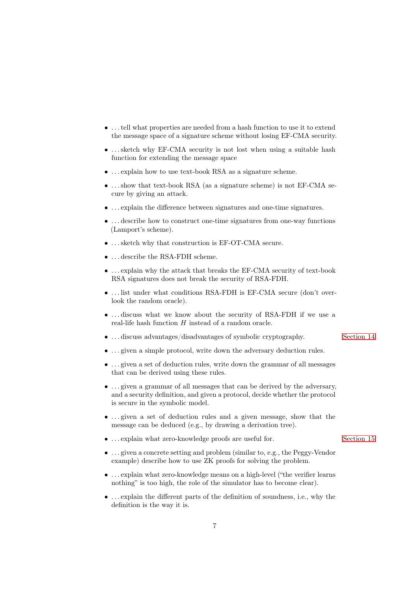- . . . tell what properties are needed from a hash function to use it to extend the message space of a signature scheme without losing EF-CMA security.
- ... sketch why EF-CMA security is not lost when using a suitable hash function for extending the message space
- . . . explain how to use text-book RSA as a signature scheme.
- ... show that text-book RSA (as a signature scheme) is not EF-CMA secure by giving an attack.
- . . . explain the difference between signatures and one-time signatures.
- . . . describe how to construct one-time signatures from one-way functions (Lamport's scheme).
- . . . sketch why that construction is EF-OT-CMA secure.
- . . . describe the RSA-FDH scheme.
- . . . explain why the attack that breaks the EF-CMA security of text-book RSA signatures does not break the security of RSA-FDH.
- . . . list under what conditions RSA-FDH is EF-CMA secure (don't overlook the random oracle).
- . . . discuss what we know about the security of RSA-FDH if we use a real-life hash function  $H$  instead of a random oracle.
- ... discuss advantages/disadvantages of symbolic cryptography. Section 14
- ... given a simple protocol, write down the adversary deduction rules.
- $\bullet$  ... given a set of deduction rules, write down the grammar of all messages that can be derived using these rules.
- ... given a grammar of all messages that can be derived by the adversary, and a security definition, and given a protocol, decide whether the protocol is secure in the symbolic model.
- . . . given a set of deduction rules and a given message, show that the message can be deduced (e.g., by drawing a derivation tree).
- ... explain what zero-knowledge proofs are useful for. Section 15
- . . . given a concrete setting and problem (similar to, e.g., the Peggy-Vendor example) describe how to use ZK proofs for solving the problem.
- . . . explain what zero-knowledge means on a high-level ("the verifier learns nothing" is too high, the role of the simulator has to become clear).
- . . . explain the different parts of the definition of soundness, i.e., why the definition is the way it is.